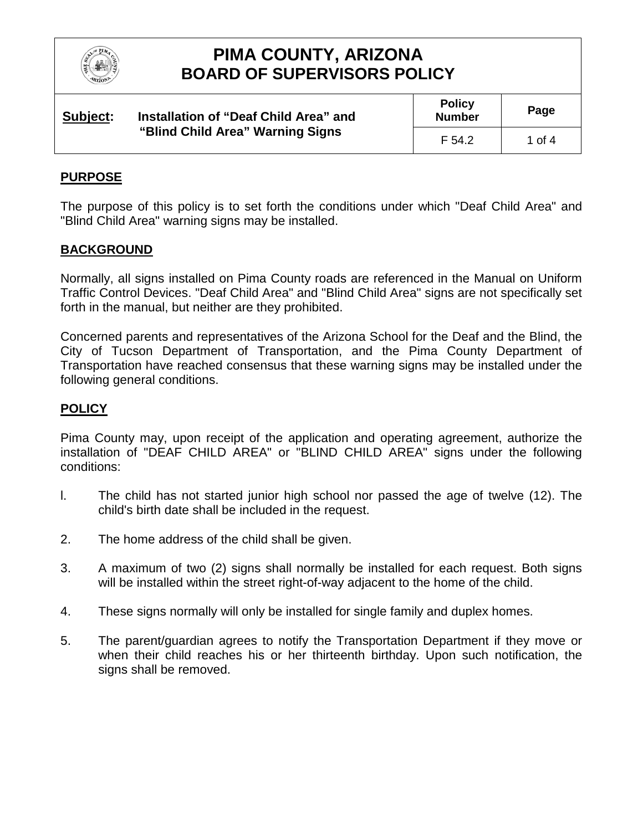

| Subject: | Installation of "Deaf Child Area" and<br>"Blind Child Area" Warning Signs | <b>Policy</b><br><b>Number</b> | Page   |
|----------|---------------------------------------------------------------------------|--------------------------------|--------|
|          |                                                                           | F 54.2                         | 1 of 4 |

### **PURPOSE**

The purpose of this policy is to set forth the conditions under which "Deaf Child Area" and "Blind Child Area" warning signs may be installed.

#### **BACKGROUND**

Normally, all signs installed on Pima County roads are referenced in the Manual on Uniform Traffic Control Devices. "Deaf Child Area" and "Blind Child Area" signs are not specifically set forth in the manual, but neither are they prohibited.

Concerned parents and representatives of the Arizona School for the Deaf and the Blind, the City of Tucson Department of Transportation, and the Pima County Department of Transportation have reached consensus that these warning signs may be installed under the following general conditions.

### **POLICY**

Pima County may, upon receipt of the application and operating agreement, authorize the installation of "DEAF CHILD AREA" or "BLIND CHILD AREA" signs under the following conditions:

- l. The child has not started junior high school nor passed the age of twelve (12). The child's birth date shall be included in the request.
- 2. The home address of the child shall be given.
- 3. A maximum of two (2) signs shall normally be installed for each request. Both signs will be installed within the street right-of-way adjacent to the home of the child.
- 4. These signs normally will only be installed for single family and duplex homes.
- 5. The parent/guardian agrees to notify the Transportation Department if they move or when their child reaches his or her thirteenth birthday. Upon such notification, the signs shall be removed.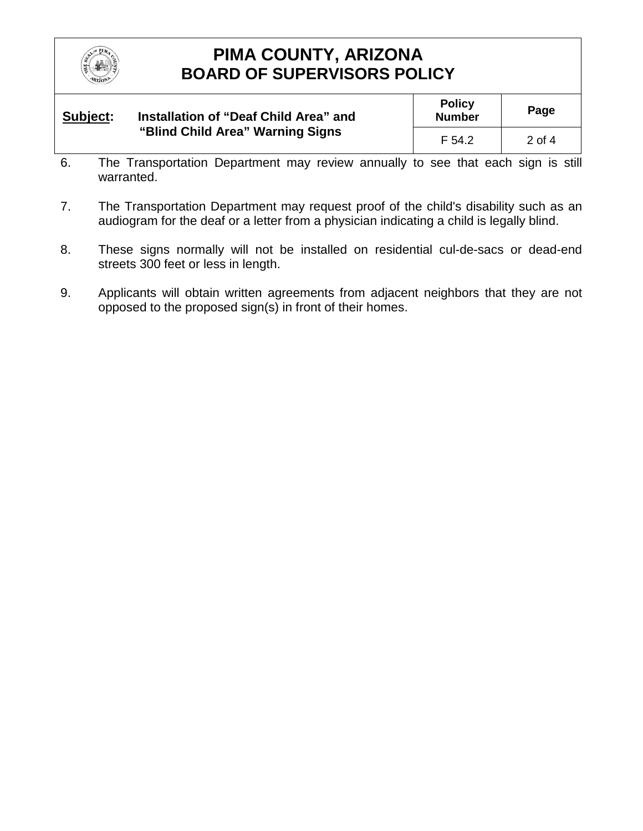

| Subject: | Installation of "Deaf Child Area" and<br>"Blind Child Area" Warning Signs | <b>Policy</b><br><b>Number</b> | Page   |
|----------|---------------------------------------------------------------------------|--------------------------------|--------|
|          |                                                                           | F 54.2                         | 2 of 4 |

- 6. The Transportation Department may review annually to see that each sign is still warranted.
- 7. The Transportation Department may request proof of the child's disability such as an audiogram for the deaf or a letter from a physician indicating a child is legally blind.
- 8. These signs normally will not be installed on residential cul-de-sacs or dead-end streets 300 feet or less in length.
- 9. Applicants will obtain written agreements from adjacent neighbors that they are not opposed to the proposed sign(s) in front of their homes.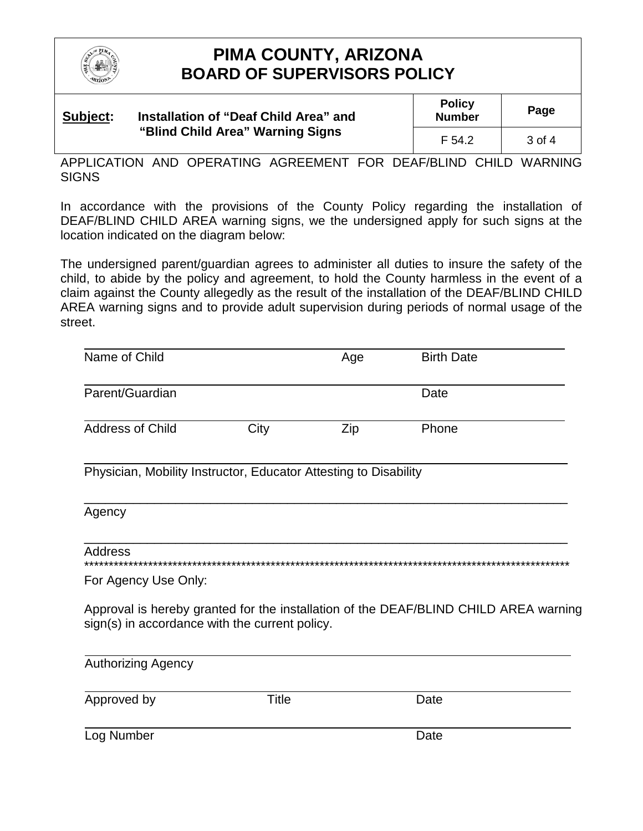

| Subject: | Installation of "Deaf Child Area" and<br>"Blind Child Area" Warning Signs | <b>Policy</b><br><b>Number</b> | Page              |
|----------|---------------------------------------------------------------------------|--------------------------------|-------------------|
|          |                                                                           | F 54.2                         | $3 \text{ of } 4$ |

APPLICATION AND OPERATING AGREEMENT FOR DEAF/BLIND CHILD WARNING **SIGNS** 

In accordance with the provisions of the County Policy regarding the installation of DEAF/BLIND CHILD AREA warning signs, we the undersigned apply for such signs at the location indicated on the diagram below:

The undersigned parent/guardian agrees to administer all duties to insure the safety of the child, to abide by the policy and agreement, to hold the County harmless in the event of a claim against the County allegedly as the result of the installation of the DEAF/BLIND CHILD AREA warning signs and to provide adult supervision during periods of normal usage of the street.

| Name of Child                                                                                                                          |       | Age | <b>Birth Date</b> |
|----------------------------------------------------------------------------------------------------------------------------------------|-------|-----|-------------------|
| Parent/Guardian                                                                                                                        |       |     | Date              |
| <b>Address of Child</b>                                                                                                                | City  | Zip | Phone             |
| Physician, Mobility Instructor, Educator Attesting to Disability                                                                       |       |     |                   |
| Agency                                                                                                                                 |       |     |                   |
| <b>Address</b>                                                                                                                         |       |     |                   |
| For Agency Use Only:                                                                                                                   |       |     |                   |
| Approval is hereby granted for the installation of the DEAF/BLIND CHILD AREA warning<br>sign(s) in accordance with the current policy. |       |     |                   |
| <b>Authorizing Agency</b>                                                                                                              |       |     |                   |
| Approved by                                                                                                                            | Title |     | Date              |
| Log Number                                                                                                                             |       |     | Date              |